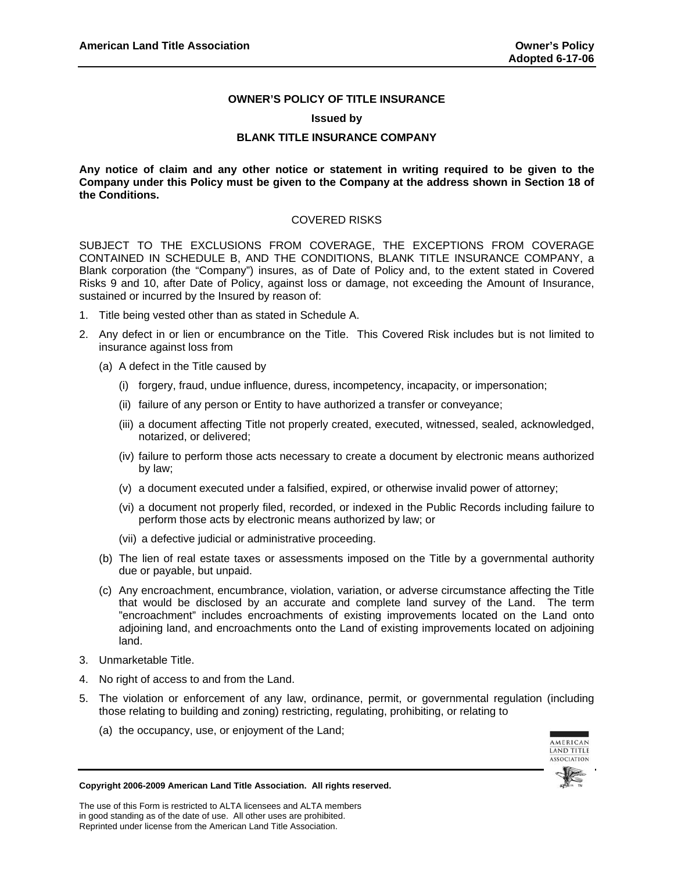#### **OWNER'S POLICY OF TITLE INSURANCE**

#### **Issued by**

#### **BLANK TITLE INSURANCE COMPANY**

**Any notice of claim and any other notice or statement in writing required to be given to the Company under this Policy must be given to the Company at the address shown in Section 18 of the Conditions.** 

# COVERED RISKS

SUBJECT TO THE EXCLUSIONS FROM COVERAGE, THE EXCEPTIONS FROM COVERAGE CONTAINED IN SCHEDULE B, AND THE CONDITIONS, BLANK TITLE INSURANCE COMPANY, a Blank corporation (the "Company") insures, as of Date of Policy and, to the extent stated in Covered Risks 9 and 10, after Date of Policy, against loss or damage, not exceeding the Amount of Insurance, sustained or incurred by the Insured by reason of:

- 1. Title being vested other than as stated in Schedule A.
- 2. Any defect in or lien or encumbrance on the Title. This Covered Risk includes but is not limited to insurance against loss from
	- (a) A defect in the Title caused by
		- (i) forgery, fraud, undue influence, duress, incompetency, incapacity, or impersonation;
		- (ii) failure of any person or Entity to have authorized a transfer or conveyance;
		- (iii) a document affecting Title not properly created, executed, witnessed, sealed, acknowledged, notarized, or delivered;
		- (iv) failure to perform those acts necessary to create a document by electronic means authorized by law;
		- (v) a document executed under a falsified, expired, or otherwise invalid power of attorney;
		- (vi) a document not properly filed, recorded, or indexed in the Public Records including failure to perform those acts by electronic means authorized by law; or
		- (vii) a defective judicial or administrative proceeding.
	- (b) The lien of real estate taxes or assessments imposed on the Title by a governmental authority due or payable, but unpaid.
	- (c) Any encroachment, encumbrance, violation, variation, or adverse circumstance affecting the Title that would be disclosed by an accurate and complete land survey of the Land. The term "encroachment" includes encroachments of existing improvements located on the Land onto adjoining land, and encroachments onto the Land of existing improvements located on adjoining land.
- 3. Unmarketable Title.
- 4. No right of access to and from the Land.
- 5. The violation or enforcement of any law, ordinance, permit, or governmental regulation (including those relating to building and zoning) restricting, regulating, prohibiting, or relating to
	- (a) the occupancy, use, or enjoyment of the Land;



**Copyright 2006-2009 American Land Title Association. All rights reserved.**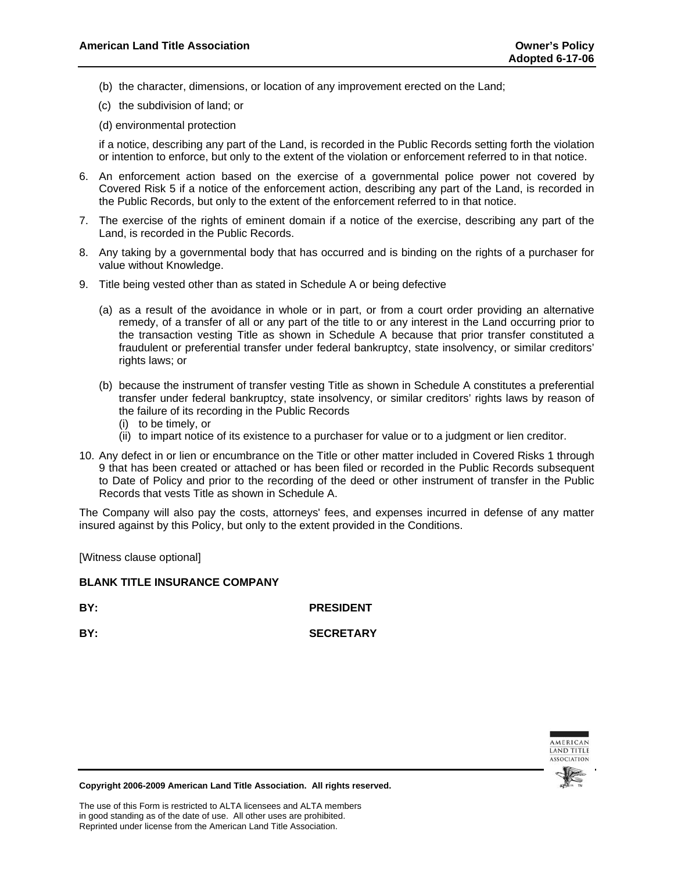- (b) the character, dimensions, or location of any improvement erected on the Land;
- (c) the subdivision of land; or
- (d) environmental protection

if a notice, describing any part of the Land, is recorded in the Public Records setting forth the violation or intention to enforce, but only to the extent of the violation or enforcement referred to in that notice.

- 6. An enforcement action based on the exercise of a governmental police power not covered by Covered Risk 5 if a notice of the enforcement action, describing any part of the Land, is recorded in the Public Records, but only to the extent of the enforcement referred to in that notice.
- 7. The exercise of the rights of eminent domain if a notice of the exercise, describing any part of the Land, is recorded in the Public Records.
- 8. Any taking by a governmental body that has occurred and is binding on the rights of a purchaser for value without Knowledge.
- 9. Title being vested other than as stated in Schedule A or being defective
	- (a) as a result of the avoidance in whole or in part, or from a court order providing an alternative remedy, of a transfer of all or any part of the title to or any interest in the Land occurring prior to the transaction vesting Title as shown in Schedule A because that prior transfer constituted a fraudulent or preferential transfer under federal bankruptcy, state insolvency, or similar creditors' rights laws; or
	- (b) because the instrument of transfer vesting Title as shown in Schedule A constitutes a preferential transfer under federal bankruptcy, state insolvency, or similar creditors' rights laws by reason of the failure of its recording in the Public Records
		- (i) to be timely, or
		- (ii) to impart notice of its existence to a purchaser for value or to a judgment or lien creditor.
- 10. Any defect in or lien or encumbrance on the Title or other matter included in Covered Risks 1 through 9 that has been created or attached or has been filed or recorded in the Public Records subsequent to Date of Policy and prior to the recording of the deed or other instrument of transfer in the Public Records that vests Title as shown in Schedule A.

The Company will also pay the costs, attorneys' fees, and expenses incurred in defense of any matter insured against by this Policy, but only to the extent provided in the Conditions.

[Witness clause optional]

# **BLANK TITLE INSURANCE COMPANY**

BY: PRESIDENT

BY: SECRETARY

AMERICAN LAND TITLE **ASSOCIATION** 



**Copyright 2006-2009 American Land Title Association. All rights reserved.**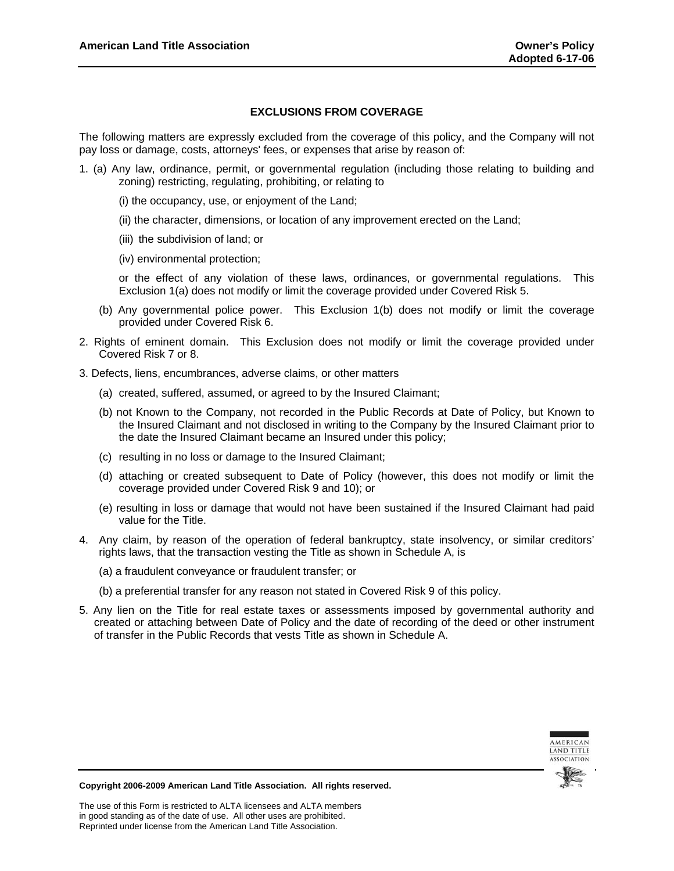# **EXCLUSIONS FROM COVERAGE**

The following matters are expressly excluded from the coverage of this policy, and the Company will not pay loss or damage, costs, attorneys' fees, or expenses that arise by reason of:

- 1. (a) Any law, ordinance, permit, or governmental regulation (including those relating to building and zoning) restricting, regulating, prohibiting, or relating to
	- (i) the occupancy, use, or enjoyment of the Land;
	- (ii) the character, dimensions, or location of any improvement erected on the Land;
	- (iii) the subdivision of land; or
	- (iv) environmental protection;

or the effect of any violation of these laws, ordinances, or governmental regulations. This Exclusion 1(a) does not modify or limit the coverage provided under Covered Risk 5.

- (b) Any governmental police power. This Exclusion 1(b) does not modify or limit the coverage provided under Covered Risk 6.
- 2. Rights of eminent domain. This Exclusion does not modify or limit the coverage provided under Covered Risk 7 or 8.
- 3. Defects, liens, encumbrances, adverse claims, or other matters
	- (a) created, suffered, assumed, or agreed to by the Insured Claimant;
	- (b) not Known to the Company, not recorded in the Public Records at Date of Policy, but Known to the Insured Claimant and not disclosed in writing to the Company by the Insured Claimant prior to the date the Insured Claimant became an Insured under this policy;
	- (c) resulting in no loss or damage to the Insured Claimant;
	- (d) attaching or created subsequent to Date of Policy (however, this does not modify or limit the coverage provided under Covered Risk 9 and 10); or
	- (e) resulting in loss or damage that would not have been sustained if the Insured Claimant had paid value for the Title.
- 4. Any claim, by reason of the operation of federal bankruptcy, state insolvency, or similar creditors' rights laws, that the transaction vesting the Title as shown in Schedule A, is
	- (a) a fraudulent conveyance or fraudulent transfer; or
	- (b) a preferential transfer for any reason not stated in Covered Risk 9 of this policy.
- 5. Any lien on the Title for real estate taxes or assessments imposed by governmental authority and created or attaching between Date of Policy and the date of recording of the deed or other instrument of transfer in the Public Records that vests Title as shown in Schedule A.





**Copyright 2006-2009 American Land Title Association. All rights reserved.**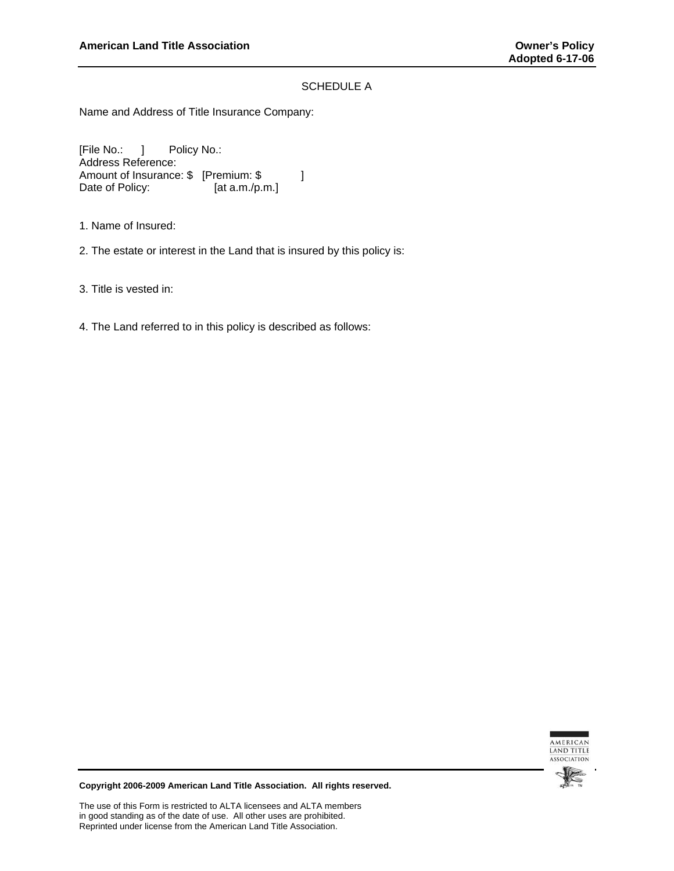# SCHEDULE A

Name and Address of Title Insurance Company:

[File No.: ] Policy No.: Address Reference: Amount of Insurance: \$ [Premium: \$ ]<br>Date of Policy: [at a.m./p.m.] Date of Policy:

1. Name of Insured:

2. The estate or interest in the Land that is insured by this policy is:

3. Title is vested in:

4. The Land referred to in this policy is described as follows:





**Copyright 2006-2009 American Land Title Association. All rights reserved.**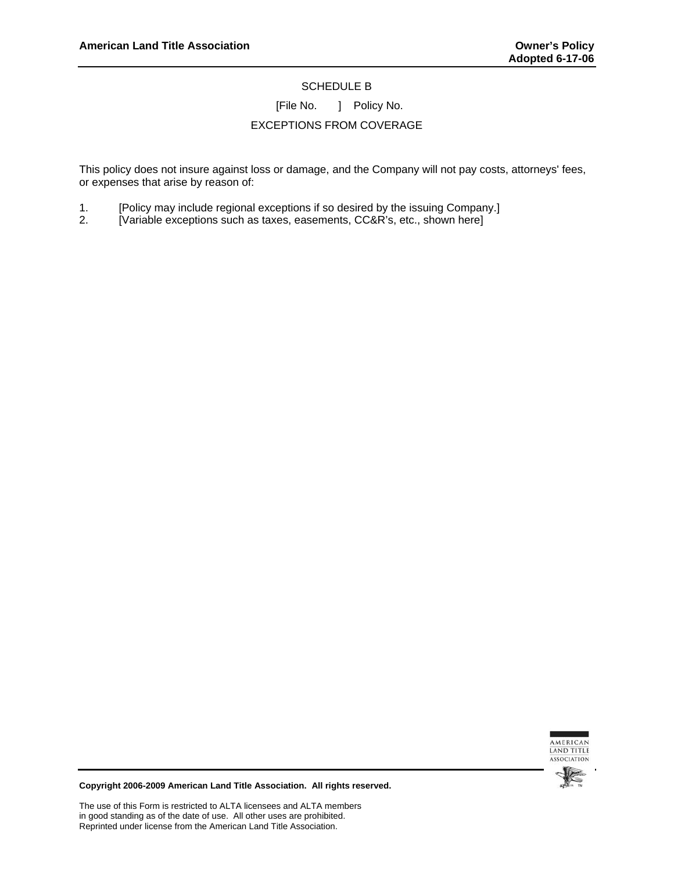# SCHEDULE B [File No. ] Policy No. EXCEPTIONS FROM COVERAGE

This policy does not insure against loss or damage, and the Company will not pay costs, attorneys' fees, or expenses that arise by reason of:

- 1. [Policy may include regional exceptions if so desired by the issuing Company.]
- 2. [Variable exceptions such as taxes, easements, CC&R's, etc., shown here]



**Copyright 2006-2009 American Land Title Association. All rights reserved.**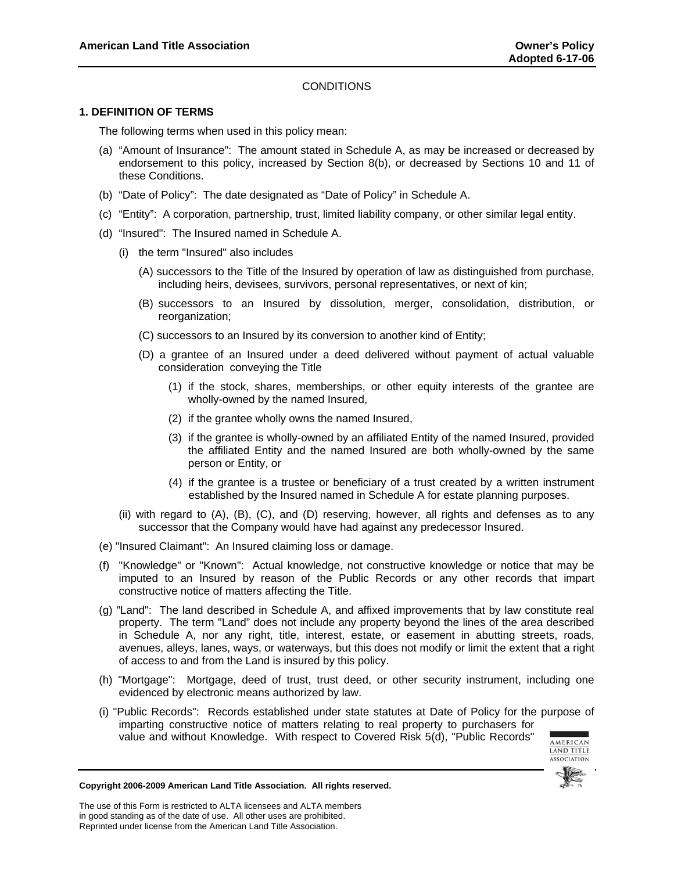# CONDITIONS

#### **1. DEFINITION OF TERMS**

The following terms when used in this policy mean:

- (a) "Amount of Insurance": The amount stated in Schedule A, as may be increased or decreased by endorsement to this policy, increased by Section 8(b), or decreased by Sections 10 and 11 of these Conditions.
- (b) "Date of Policy": The date designated as "Date of Policy" in Schedule A.
- (c) "Entity": A corporation, partnership, trust, limited liability company, or other similar legal entity.
- (d) "Insured": The Insured named in Schedule A.
	- (i) the term "Insured" also includes
		- (A) successors to the Title of the Insured by operation of law as distinguished from purchase, including heirs, devisees, survivors, personal representatives, or next of kin;
		- (B) successors to an Insured by dissolution, merger, consolidation, distribution, or reorganization;
		- (C) successors to an Insured by its conversion to another kind of Entity;
		- (D) a grantee of an Insured under a deed delivered without payment of actual valuable consideration conveying the Title
			- (1) if the stock, shares, memberships, or other equity interests of the grantee are wholly-owned by the named Insured,
			- (2) if the grantee wholly owns the named Insured,
			- (3) if the grantee is wholly-owned by an affiliated Entity of the named Insured, provided the affiliated Entity and the named Insured are both wholly-owned by the same person or Entity, or
			- (4) if the grantee is a trustee or beneficiary of a trust created by a written instrument established by the Insured named in Schedule A for estate planning purposes.
	- (ii) with regard to (A), (B), (C), and (D) reserving, however, all rights and defenses as to any successor that the Company would have had against any predecessor Insured.
- (e) "Insured Claimant": An Insured claiming loss or damage.
- (f) "Knowledge" or "Known": Actual knowledge, not constructive knowledge or notice that may be imputed to an Insured by reason of the Public Records or any other records that impart constructive notice of matters affecting the Title.
- (g) "Land": The land described in Schedule A, and affixed improvements that by law constitute real property. The term "Land" does not include any property beyond the lines of the area described in Schedule A, nor any right, title, interest, estate, or easement in abutting streets, roads, avenues, alleys, lanes, ways, or waterways, but this does not modify or limit the extent that a right of access to and from the Land is insured by this policy.
- (h) "Mortgage": Mortgage, deed of trust, trust deed, or other security instrument, including one evidenced by electronic means authorized by law.
- (i) "Public Records": Records established under state statutes at Date of Policy for the purpose of imparting constructive notice of matters relating to real property to purchasers for value and without Knowledge. With respect to Covered Risk 5(d), "Public Records"



**Copyright 2006-2009 American Land Title Association. All rights reserved.**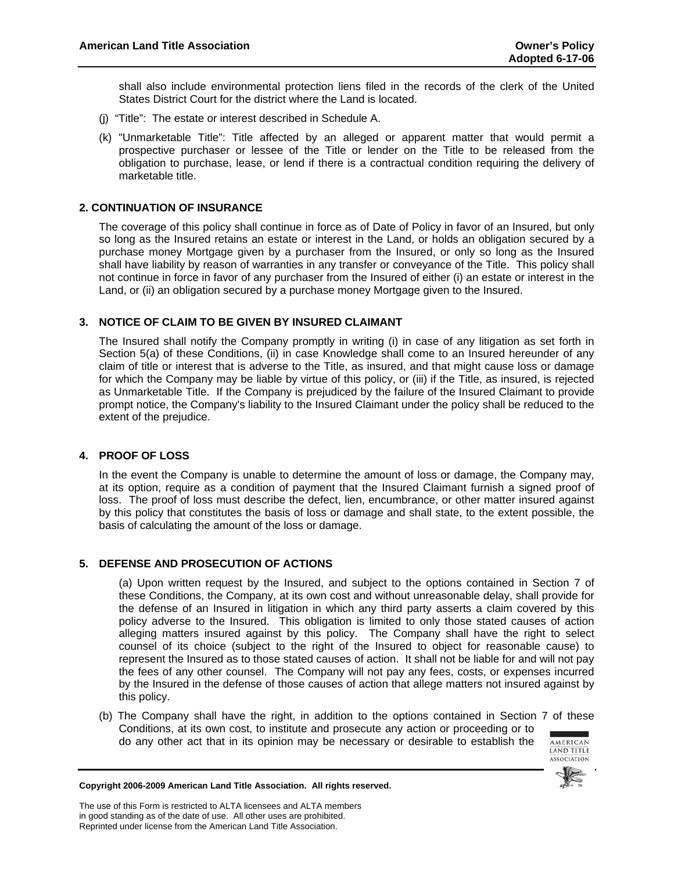shall also include environmental protection liens filed in the records of the clerk of the United States District Court for the district where the Land is located.

- (j) "Title": The estate or interest described in Schedule A.
- (k) "Unmarketable Title": Title affected by an alleged or apparent matter that would permit a prospective purchaser or lessee of the Title or lender on the Title to be released from the obligation to purchase, lease, or lend if there is a contractual condition requiring the delivery of marketable title.

# **2. CONTINUATION OF INSURANCE**

The coverage of this policy shall continue in force as of Date of Policy in favor of an Insured, but only so long as the Insured retains an estate or interest in the Land, or holds an obligation secured by a purchase money Mortgage given by a purchaser from the Insured, or only so long as the Insured shall have liability by reason of warranties in any transfer or conveyance of the Title. This policy shall not continue in force in favor of any purchaser from the Insured of either (i) an estate or interest in the Land, or (ii) an obligation secured by a purchase money Mortgage given to the Insured.

# **3. NOTICE OF CLAIM TO BE GIVEN BY INSURED CLAIMANT**

The Insured shall notify the Company promptly in writing (i) in case of any litigation as set forth in Section 5(a) of these Conditions, (ii) in case Knowledge shall come to an Insured hereunder of any claim of title or interest that is adverse to the Title, as insured, and that might cause loss or damage for which the Company may be liable by virtue of this policy, or (iii) if the Title, as insured, is rejected as Unmarketable Title. If the Company is prejudiced by the failure of the Insured Claimant to provide prompt notice, the Company's liability to the Insured Claimant under the policy shall be reduced to the extent of the prejudice.

# **4. PROOF OF LOSS**

In the event the Company is unable to determine the amount of loss or damage, the Company may, at its option, require as a condition of payment that the Insured Claimant furnish a signed proof of loss. The proof of loss must describe the defect, lien, encumbrance, or other matter insured against by this policy that constitutes the basis of loss or damage and shall state, to the extent possible, the basis of calculating the amount of the loss or damage.

# **5. DEFENSE AND PROSECUTION OF ACTIONS**

 (a) Upon written request by the Insured, and subject to the options contained in Section 7 of these Conditions, the Company, at its own cost and without unreasonable delay, shall provide for the defense of an Insured in litigation in which any third party asserts a claim covered by this policy adverse to the Insured. This obligation is limited to only those stated causes of action alleging matters insured against by this policy. The Company shall have the right to select counsel of its choice (subject to the right of the Insured to object for reasonable cause) to represent the Insured as to those stated causes of action. It shall not be liable for and will not pay the fees of any other counsel. The Company will not pay any fees, costs, or expenses incurred by the Insured in the defense of those causes of action that allege matters not insured against by this policy.

(b) The Company shall have the right, in addition to the options contained in Section 7 of these Conditions, at its own cost, to institute and prosecute any action or proceeding or to do any other act that in its opinion may be necessary or desirable to establish the AMERICAN



**Copyright 2006-2009 American Land Title Association. All rights reserved.**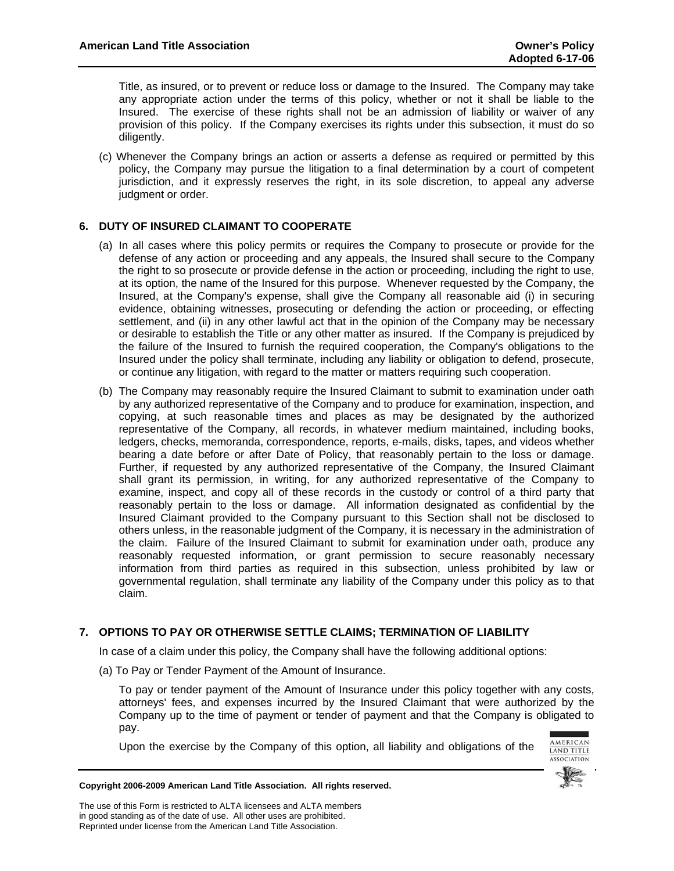Title, as insured, or to prevent or reduce loss or damage to the Insured. The Company may take any appropriate action under the terms of this policy, whether or not it shall be liable to the Insured. The exercise of these rights shall not be an admission of liability or waiver of any provision of this policy. If the Company exercises its rights under this subsection, it must do so diligently.

(c) Whenever the Company brings an action or asserts a defense as required or permitted by this policy, the Company may pursue the litigation to a final determination by a court of competent jurisdiction, and it expressly reserves the right, in its sole discretion, to appeal any adverse judgment or order.

# **6. DUTY OF INSURED CLAIMANT TO COOPERATE**

- (a) In all cases where this policy permits or requires the Company to prosecute or provide for the defense of any action or proceeding and any appeals, the Insured shall secure to the Company the right to so prosecute or provide defense in the action or proceeding, including the right to use, at its option, the name of the Insured for this purpose. Whenever requested by the Company, the Insured, at the Company's expense, shall give the Company all reasonable aid (i) in securing evidence, obtaining witnesses, prosecuting or defending the action or proceeding, or effecting settlement, and (ii) in any other lawful act that in the opinion of the Company may be necessary or desirable to establish the Title or any other matter as insured. If the Company is prejudiced by the failure of the Insured to furnish the required cooperation, the Company's obligations to the Insured under the policy shall terminate, including any liability or obligation to defend, prosecute, or continue any litigation, with regard to the matter or matters requiring such cooperation.
- (b) The Company may reasonably require the Insured Claimant to submit to examination under oath by any authorized representative of the Company and to produce for examination, inspection, and copying, at such reasonable times and places as may be designated by the authorized representative of the Company, all records, in whatever medium maintained, including books, ledgers, checks, memoranda, correspondence, reports, e-mails, disks, tapes, and videos whether bearing a date before or after Date of Policy, that reasonably pertain to the loss or damage. Further, if requested by any authorized representative of the Company, the Insured Claimant shall grant its permission, in writing, for any authorized representative of the Company to examine, inspect, and copy all of these records in the custody or control of a third party that reasonably pertain to the loss or damage. All information designated as confidential by the Insured Claimant provided to the Company pursuant to this Section shall not be disclosed to others unless, in the reasonable judgment of the Company, it is necessary in the administration of the claim. Failure of the Insured Claimant to submit for examination under oath, produce any reasonably requested information, or grant permission to secure reasonably necessary information from third parties as required in this subsection, unless prohibited by law or governmental regulation, shall terminate any liability of the Company under this policy as to that claim.

# **7. OPTIONS TO PAY OR OTHERWISE SETTLE CLAIMS; TERMINATION OF LIABILITY**

In case of a claim under this policy, the Company shall have the following additional options:

(a) To Pay or Tender Payment of the Amount of Insurance.

To pay or tender payment of the Amount of Insurance under this policy together with any costs, attorneys' fees, and expenses incurred by the Insured Claimant that were authorized by the Company up to the time of payment or tender of payment and that the Company is obligated to pay.

Upon the exercise by the Company of this option, all liability and obligations of the



**Copyright 2006-2009 American Land Title Association. All rights reserved.**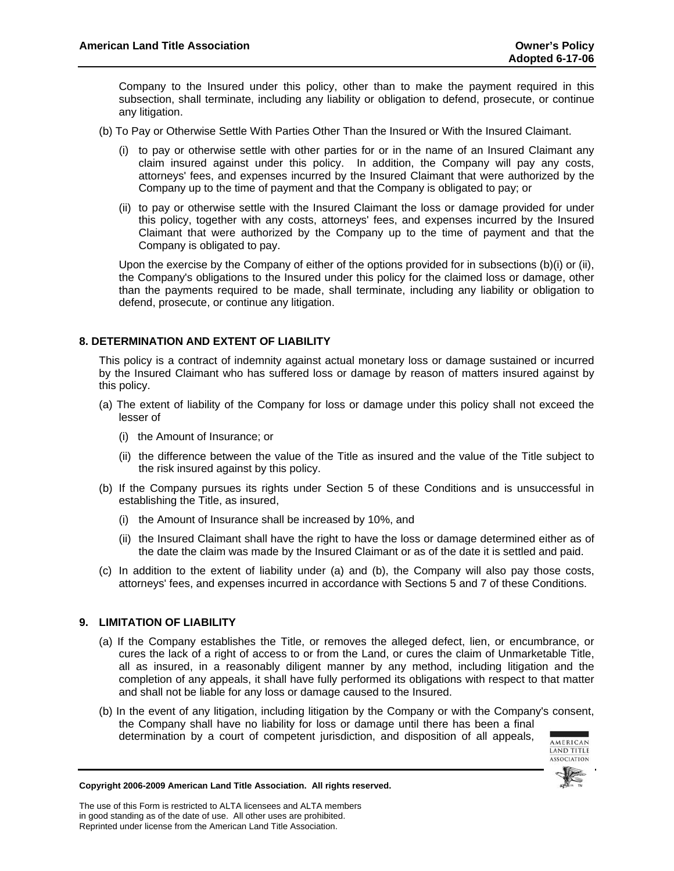Company to the Insured under this policy, other than to make the payment required in this subsection, shall terminate, including any liability or obligation to defend, prosecute, or continue any litigation.

- (b) To Pay or Otherwise Settle With Parties Other Than the Insured or With the Insured Claimant.
	- (i) to pay or otherwise settle with other parties for or in the name of an Insured Claimant any claim insured against under this policy. In addition, the Company will pay any costs, attorneys' fees, and expenses incurred by the Insured Claimant that were authorized by the Company up to the time of payment and that the Company is obligated to pay; or
	- (ii) to pay or otherwise settle with the Insured Claimant the loss or damage provided for under this policy, together with any costs, attorneys' fees, and expenses incurred by the Insured Claimant that were authorized by the Company up to the time of payment and that the Company is obligated to pay.

Upon the exercise by the Company of either of the options provided for in subsections (b)(i) or (ii), the Company's obligations to the Insured under this policy for the claimed loss or damage, other than the payments required to be made, shall terminate, including any liability or obligation to defend, prosecute, or continue any litigation.

# **8. DETERMINATION AND EXTENT OF LIABILITY**

This policy is a contract of indemnity against actual monetary loss or damage sustained or incurred by the Insured Claimant who has suffered loss or damage by reason of matters insured against by this policy.

- (a) The extent of liability of the Company for loss or damage under this policy shall not exceed the lesser of
	- (i) the Amount of Insurance; or
	- (ii) the difference between the value of the Title as insured and the value of the Title subject to the risk insured against by this policy.
- (b) If the Company pursues its rights under Section 5 of these Conditions and is unsuccessful in establishing the Title, as insured,
	- (i) the Amount of Insurance shall be increased by 10%, and
	- (ii) the Insured Claimant shall have the right to have the loss or damage determined either as of the date the claim was made by the Insured Claimant or as of the date it is settled and paid.
- (c) In addition to the extent of liability under (a) and (b), the Company will also pay those costs, attorneys' fees, and expenses incurred in accordance with Sections 5 and 7 of these Conditions.

# **9. LIMITATION OF LIABILITY**

- (a) If the Company establishes the Title, or removes the alleged defect, lien, or encumbrance, or cures the lack of a right of access to or from the Land, or cures the claim of Unmarketable Title, all as insured, in a reasonably diligent manner by any method, including litigation and the completion of any appeals, it shall have fully performed its obligations with respect to that matter and shall not be liable for any loss or damage caused to the Insured.
- (b) In the event of any litigation, including litigation by the Company or with the Company's consent, the Company shall have no liability for loss or damage until there has been a final determination by a court of competent jurisdiction, and disposition of all appeals,



**Copyright 2006-2009 American Land Title Association. All rights reserved.**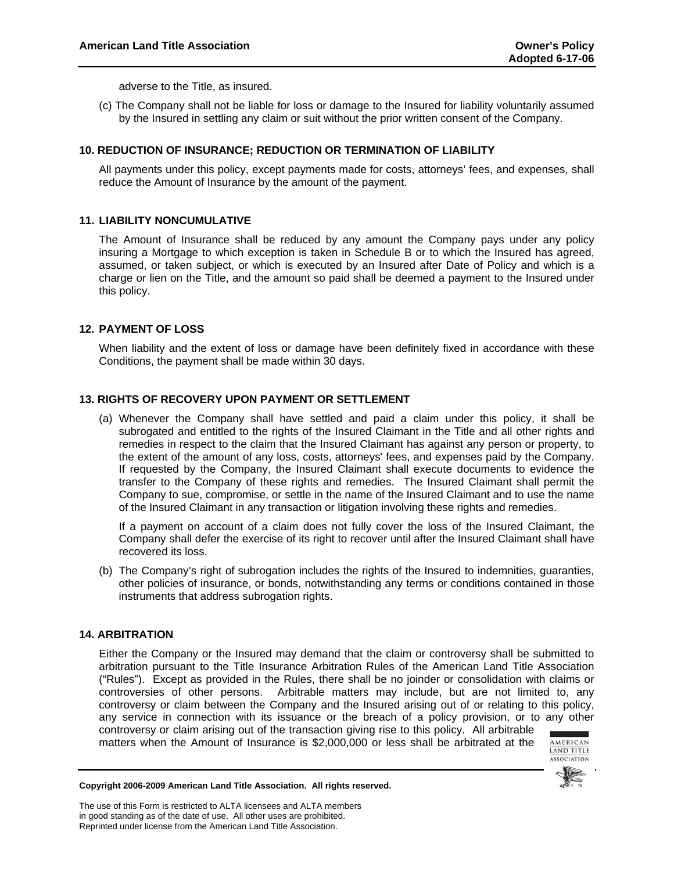adverse to the Title, as insured.

(c) The Company shall not be liable for loss or damage to the Insured for liability voluntarily assumed by the Insured in settling any claim or suit without the prior written consent of the Company.

# **10. REDUCTION OF INSURANCE; REDUCTION OR TERMINATION OF LIABILITY**

All payments under this policy, except payments made for costs, attorneys' fees, and expenses, shall reduce the Amount of Insurance by the amount of the payment.

#### **11. LIABILITY NONCUMULATIVE**

The Amount of Insurance shall be reduced by any amount the Company pays under any policy insuring a Mortgage to which exception is taken in Schedule B or to which the Insured has agreed, assumed, or taken subject, or which is executed by an Insured after Date of Policy and which is a charge or lien on the Title, and the amount so paid shall be deemed a payment to the Insured under this policy.

# **12. PAYMENT OF LOSS**

When liability and the extent of loss or damage have been definitely fixed in accordance with these Conditions, the payment shall be made within 30 days.

# **13. RIGHTS OF RECOVERY UPON PAYMENT OR SETTLEMENT**

(a) Whenever the Company shall have settled and paid a claim under this policy, it shall be subrogated and entitled to the rights of the Insured Claimant in the Title and all other rights and remedies in respect to the claim that the Insured Claimant has against any person or property, to the extent of the amount of any loss, costs, attorneys' fees, and expenses paid by the Company. If requested by the Company, the Insured Claimant shall execute documents to evidence the transfer to the Company of these rights and remedies. The Insured Claimant shall permit the Company to sue, compromise, or settle in the name of the Insured Claimant and to use the name of the Insured Claimant in any transaction or litigation involving these rights and remedies.

If a payment on account of a claim does not fully cover the loss of the Insured Claimant, the Company shall defer the exercise of its right to recover until after the Insured Claimant shall have recovered its loss.

(b) The Company's right of subrogation includes the rights of the Insured to indemnities, guaranties, other policies of insurance, or bonds, notwithstanding any terms or conditions contained in those instruments that address subrogation rights.

# **14. ARBITRATION**

Either the Company or the Insured may demand that the claim or controversy shall be submitted to arbitration pursuant to the Title Insurance Arbitration Rules of the American Land Title Association ("Rules"). Except as provided in the Rules, there shall be no joinder or consolidation with claims or controversies of other persons. Arbitrable matters may include, but are not limited to, any controversy or claim between the Company and the Insured arising out of or relating to this policy, any service in connection with its issuance or the breach of a policy provision, or to any other controversy or claim arising out of the transaction giving rise to this policy. All arbitrable

matters when the Amount of Insurance is \$2,000,000 or less shall be arbitrated at the



**Copyright 2006-2009 American Land Title Association. All rights reserved.**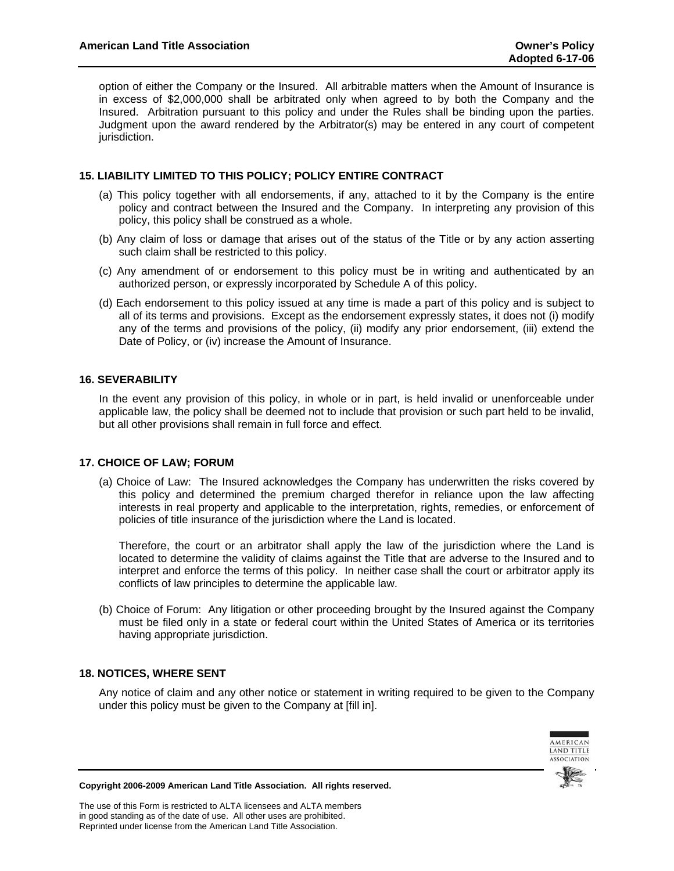option of either the Company or the Insured. All arbitrable matters when the Amount of Insurance is in excess of \$2,000,000 shall be arbitrated only when agreed to by both the Company and the Insured. Arbitration pursuant to this policy and under the Rules shall be binding upon the parties. Judgment upon the award rendered by the Arbitrator(s) may be entered in any court of competent jurisdiction.

# **15. LIABILITY LIMITED TO THIS POLICY; POLICY ENTIRE CONTRACT**

- (a) This policy together with all endorsements, if any, attached to it by the Company is the entire policy and contract between the Insured and the Company. In interpreting any provision of this policy, this policy shall be construed as a whole.
- (b) Any claim of loss or damage that arises out of the status of the Title or by any action asserting such claim shall be restricted to this policy.
- (c) Any amendment of or endorsement to this policy must be in writing and authenticated by an authorized person, or expressly incorporated by Schedule A of this policy.
- (d) Each endorsement to this policy issued at any time is made a part of this policy and is subject to all of its terms and provisions. Except as the endorsement expressly states, it does not (i) modify any of the terms and provisions of the policy, (ii) modify any prior endorsement, (iii) extend the Date of Policy, or (iv) increase the Amount of Insurance.

# **16. SEVERABILITY**

In the event any provision of this policy, in whole or in part, is held invalid or unenforceable under applicable law, the policy shall be deemed not to include that provision or such part held to be invalid, but all other provisions shall remain in full force and effect.

# **17. CHOICE OF LAW; FORUM**

(a) Choice of Law: The Insured acknowledges the Company has underwritten the risks covered by this policy and determined the premium charged therefor in reliance upon the law affecting interests in real property and applicable to the interpretation, rights, remedies, or enforcement of policies of title insurance of the jurisdiction where the Land is located.

Therefore, the court or an arbitrator shall apply the law of the jurisdiction where the Land is located to determine the validity of claims against the Title that are adverse to the Insured and to interpret and enforce the terms of this policy. In neither case shall the court or arbitrator apply its conflicts of law principles to determine the applicable law.

(b) Choice of Forum: Any litigation or other proceeding brought by the Insured against the Company must be filed only in a state or federal court within the United States of America or its territories having appropriate jurisdiction.

# **18. NOTICES, WHERE SENT**

Any notice of claim and any other notice or statement in writing required to be given to the Company under this policy must be given to the Company at [fill in].





**Copyright 2006-2009 American Land Title Association. All rights reserved.**